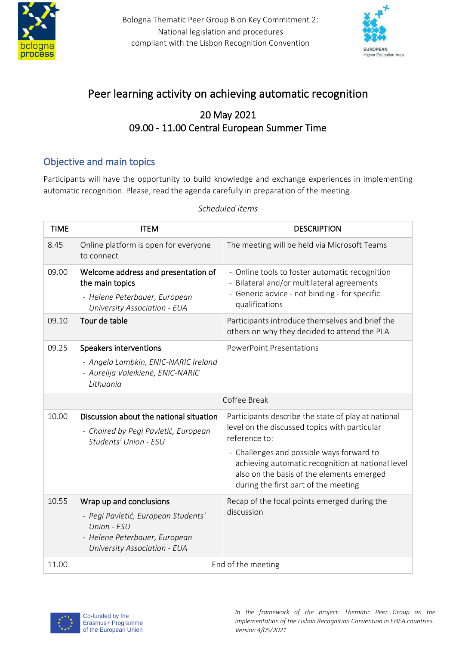

Bologna Thematic Peer Group B on Key Commitment 2: National legislation and procedures compliant with the Lisbon Recognition Convention



# Peer learning activity on achieving automatic recognition

## 20 May 2021 09.00 - 11.00 Central European Summer Time

### Objective and main topics

Participants will have the opportunity to build knowledge and exchange experiences in implementing automatic recognition. Please, read the agenda carefully in preparation of the meeting.

| <b>TIME</b>  | <b>ITEM</b>                                                                                                                                    | <b>DESCRIPTION</b>                                                                                                                                                                  |
|--------------|------------------------------------------------------------------------------------------------------------------------------------------------|-------------------------------------------------------------------------------------------------------------------------------------------------------------------------------------|
| 8.45         | Online platform is open for everyone<br>to connect                                                                                             | The meeting will be held via Microsoft Teams                                                                                                                                        |
| 09.00        | Welcome address and presentation of<br>the main topics<br>- Helene Peterbauer, European<br><b>University Association - EUA</b>                 | - Online tools to foster automatic recognition<br>- Bilateral and/or multilateral agreements<br>- Generic advice - not binding - for specific<br>qualifications                     |
| 09.10        | Tour de table                                                                                                                                  | Participants introduce themselves and brief the<br>others on why they decided to attend the PLA                                                                                     |
| 09.25        | Speakers interventions<br>- Angela Lambkin, ENIC-NARIC Ireland<br>- Aurelija Valeikienė, ENIC-NARIC<br>Lithuania                               | <b>PowerPoint Presentations</b>                                                                                                                                                     |
| Coffee Break |                                                                                                                                                |                                                                                                                                                                                     |
| 10.00        | Discussion about the national situation<br>- Chaired by Pegi Pavletić, European<br>Students' Union - ESU                                       | Participants describe the state of play at national<br>level on the discussed topics with particular<br>reference to:                                                               |
|              |                                                                                                                                                | - Challenges and possible ways forward to<br>achieving automatic recognition at national level<br>also on the basis of the elements emerged<br>during the first part of the meeting |
| 10.55        | Wrap up and conclusions<br>- Pegi Pavletić, European Students'<br>Union - ESU<br>- Helene Peterbauer, European<br>University Association - EUA | Recap of the focal points emerged during the<br>discussion                                                                                                                          |
| 11.00        | End of the meeting                                                                                                                             |                                                                                                                                                                                     |

#### *Scheduled items*